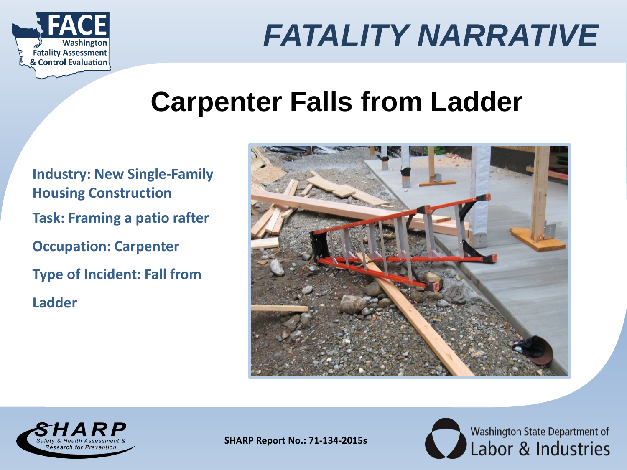

## **Carpenter Falls from Ladder**

**Industry: New Single-Family Housing Construction Task: Framing a patio rafter Occupation: Carpenter Type of Incident: Fall from Ladder**





**SHARP Report No.: 71-134-2015s**

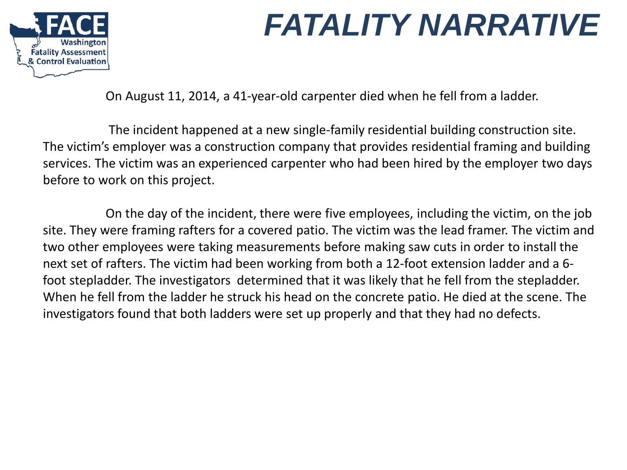

On August 11, 2014, a 41-year-old carpenter died when he fell from a ladder.

The incident happened at a new single-family residential building construction site. The victim's employer was a construction company that provides residential framing and building services. The victim was an experienced carpenter who had been hired by the employer two days before to work on this project.

On the day of the incident, there were five employees, including the victim, on the job site. They were framing rafters for a covered patio. The victim was the lead framer. The victim and two other employees were taking measurements before making saw cuts in order to install the next set of rafters. The victim had been working from both a 12-foot extension ladder and a 6 foot stepladder. The investigators determined that it was likely that he fell from the stepladder. When he fell from the ladder he struck his head on the concrete patio. He died at the scene. The investigators found that both ladders were set up properly and that they had no defects.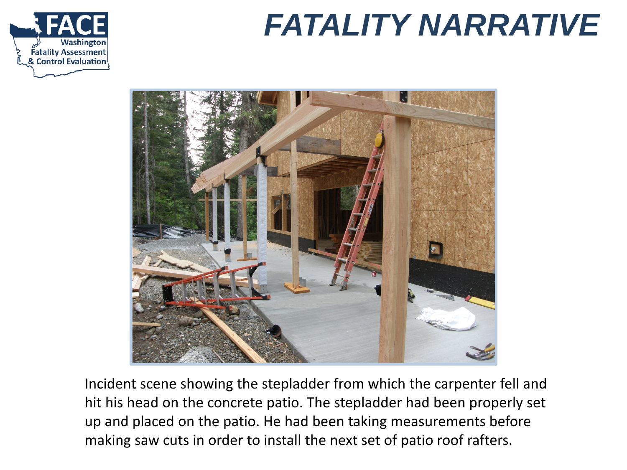



Incident scene showing the stepladder from which the carpenter fell and hit his head on the concrete patio. The stepladder had been properly set up and placed on the patio. He had been taking measurements before making saw cuts in order to install the next set of patio roof rafters.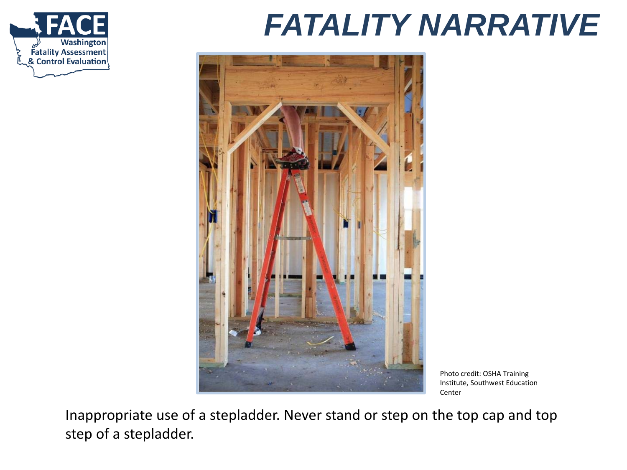



Photo credit: OSHA Training Institute, Southwest Education Center

Inappropriate use of a stepladder. Never stand or step on the top cap and top step of a stepladder.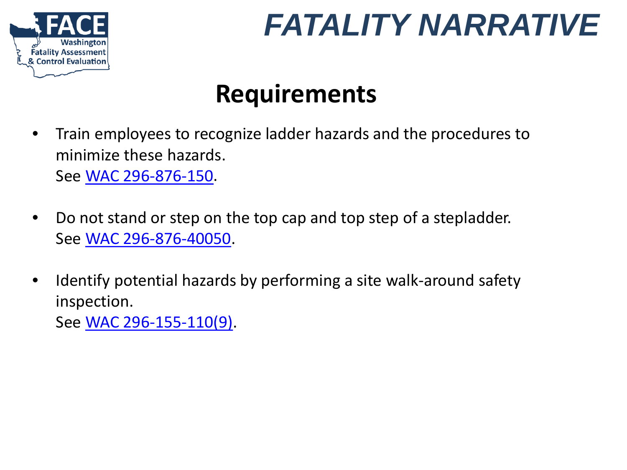

#### **Requirements**

- Train employees to recognize ladder hazards and the procedures to minimize these hazards. See [WAC 296-876-150](http://app.leg.wa.gov/WAC/default.aspx?cite=296-876-150).
- Do not stand or step on the top cap and top step of a stepladder. See [WAC 296-876-40050](http://app.leg.wa.gov/WAC/default.aspx?cite=296-876-40050).
- Identify potential hazards by performing a site walk-around safety inspection. See [WAC 296-155-110\(9\)](http://app.leg.wa.gov/WAC/default.aspx?cite=296-155-110).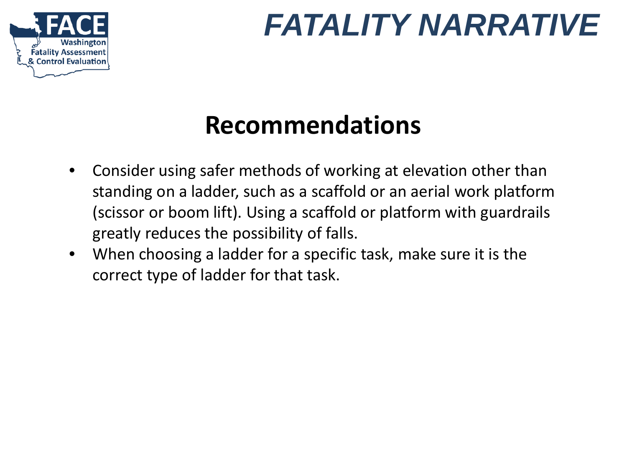

### **Recommendations**

- Consider using safer methods of working at elevation other than standing on a ladder, such as a scaffold or an aerial work platform (scissor or boom lift). Using a scaffold or platform with guardrails greatly reduces the possibility of falls.
- When choosing a ladder for a specific task, make sure it is the correct type of ladder for that task.